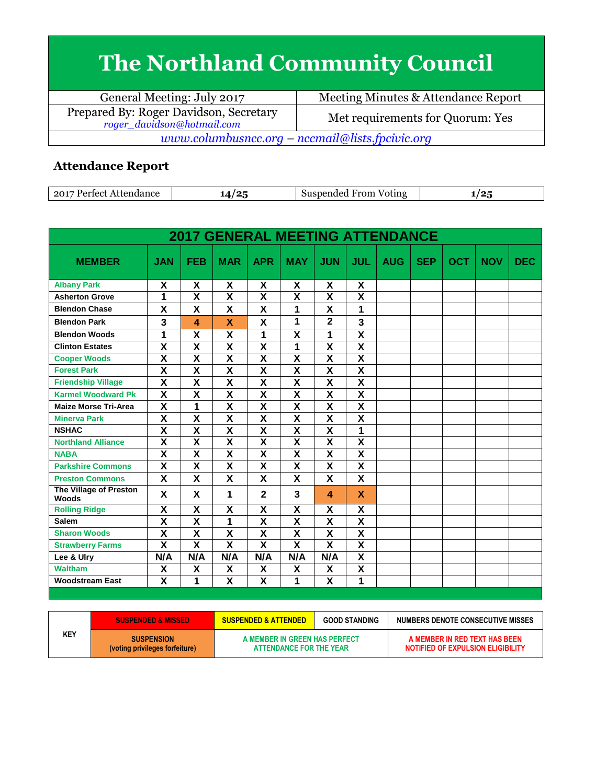## **The Northland Community Council**

| General Meeting: July 2017                                           | Meeting Minutes & Attendance Report |  |  |  |  |  |
|----------------------------------------------------------------------|-------------------------------------|--|--|--|--|--|
| Prepared By: Roger Davidson, Secretary<br>roger_davidson@hotmail.com | Met requirements for Quorum: Yes    |  |  |  |  |  |
| www.columbusncc.org – nccmail@lists.fpcivic.org                      |                                     |  |  |  |  |  |

## **Attendance Report**

| 2017<br>Perfect<br>. Attendance | ,<br>. .<br>. . | Voting<br>ispended<br>From | <i>'~'</i><br>. . |
|---------------------------------|-----------------|----------------------------|-------------------|

| <b>2017 GENERAL MEETING ATTENDANCE</b> |                         |                         |                           |                         |                           |                         |                         |            |            |            |            |            |
|----------------------------------------|-------------------------|-------------------------|---------------------------|-------------------------|---------------------------|-------------------------|-------------------------|------------|------------|------------|------------|------------|
| <b>MEMBER</b>                          | <b>JAN</b>              | <b>FEB</b>              | <b>MAR</b>                | <b>APR</b>              | <b>MAY</b>                | <b>JUN</b>              | <b>JUL</b>              | <b>AUG</b> | <b>SEP</b> | <b>OCT</b> | <b>NOV</b> | <b>DEC</b> |
| <b>Albany Park</b>                     | X                       | X                       | X                         | X                       | X                         | X                       | X                       |            |            |            |            |            |
| <b>Asherton Grove</b>                  | 1                       | X                       | X                         | X                       | X                         | X                       | X                       |            |            |            |            |            |
| <b>Blendon Chase</b>                   | X                       | X                       | X                         | X                       | 1                         | X                       | 1                       |            |            |            |            |            |
| <b>Blendon Park</b>                    | 3                       | 4                       | X                         | X                       | 1                         | $\mathbf{2}$            | 3                       |            |            |            |            |            |
| <b>Blendon Woods</b>                   | 1                       | $\overline{\mathsf{x}}$ | X                         | 1                       | $\overline{\mathsf{x}}$   | 1                       | $\overline{\textsf{x}}$ |            |            |            |            |            |
| <b>Clinton Estates</b>                 | $\overline{\mathsf{x}}$ | $\overline{\mathsf{x}}$ | $\overline{\mathsf{x}}$   | $\overline{\textsf{x}}$ | 1                         | $\overline{\textsf{x}}$ | X                       |            |            |            |            |            |
| <b>Cooper Woods</b>                    | X                       | $\overline{\mathsf{x}}$ | $\overline{\mathsf{x}}$   | $\overline{\mathsf{x}}$ | $\overline{\mathsf{x}}$   | $\overline{\mathsf{x}}$ | $\overline{\mathsf{x}}$ |            |            |            |            |            |
| <b>Forest Park</b>                     | X                       | X                       | X                         | X                       | X                         | X                       | X                       |            |            |            |            |            |
| <b>Friendship Village</b>              | $\overline{\mathbf{x}}$ | $\overline{\mathbf{x}}$ | $\overline{\mathsf{x}}$   | $\overline{\mathsf{x}}$ | $\overline{\mathbf{x}}$   | $\overline{\mathbf{X}}$ | $\overline{\mathsf{x}}$ |            |            |            |            |            |
| <b>Karmel Woodward Pk</b>              | $\overline{\mathbf{x}}$ | $\overline{\mathbf{x}}$ | $\overline{\mathbf{X}}$   | $\overline{\mathsf{x}}$ | $\overline{\mathbf{X}}$   | $\overline{\mathbf{X}}$ | $\overline{\mathsf{x}}$ |            |            |            |            |            |
| <b>Maize Morse Tri-Area</b>            | $\overline{\mathbf{x}}$ | 1                       | $\overline{\mathbf{x}}$   | $\overline{\mathbf{x}}$ | $\overline{\mathbf{x}}$   | $\overline{\mathbf{x}}$ | $\overline{\mathbf{x}}$ |            |            |            |            |            |
| <b>Minerva Park</b>                    | X                       | X                       | X                         | X                       | X                         | $\overline{\mathsf{x}}$ | X                       |            |            |            |            |            |
| <b>NSHAC</b>                           | $\overline{\mathbf{x}}$ | $\overline{\mathbf{X}}$ | $\overline{\mathbf{X}}$   | $\overline{\mathsf{x}}$ | $\overline{\mathbf{x}}$   | $\overline{\mathbf{x}}$ | 1                       |            |            |            |            |            |
| <b>Northland Alliance</b>              | $\overline{\textsf{x}}$ | $\overline{\mathsf{x}}$ | $\overline{\mathsf{x}}$   | $\overline{\mathsf{x}}$ | $\overline{\mathsf{x}}$   | $\overline{\mathsf{x}}$ | $\overline{\mathbf{x}}$ |            |            |            |            |            |
| <b>NABA</b>                            | X                       | $\overline{\mathsf{x}}$ | $\overline{\mathsf{x}}$   | $\overline{\mathsf{x}}$ | $\overline{\mathsf{x}}$   | $\overline{\mathsf{x}}$ | $\overline{\mathsf{x}}$ |            |            |            |            |            |
| <b>Parkshire Commons</b>               | X                       | X                       | X                         | X                       | X                         | X                       | X                       |            |            |            |            |            |
| <b>Preston Commons</b>                 | X                       | X                       | X                         | X                       | X                         | X                       | X                       |            |            |            |            |            |
| The Village of Preston<br><b>Woods</b> | X                       | X                       | 1                         | $\mathbf{2}$            | 3                         | $\boldsymbol{\Lambda}$  | X                       |            |            |            |            |            |
| <b>Rolling Ridge</b>                   | X                       | X                       | X                         | X                       | X                         | X                       | X                       |            |            |            |            |            |
| <b>Salem</b>                           | $\overline{\mathsf{x}}$ | $\overline{\mathsf{x}}$ | $\overline{1}$            | $\overline{\mathsf{x}}$ | $\overline{\mathsf{x}}$   | $\overline{\mathsf{x}}$ | $\overline{\textsf{x}}$ |            |            |            |            |            |
| <b>Sharon Woods</b>                    | X                       | χ                       | $\boldsymbol{\mathsf{X}}$ | X                       | $\boldsymbol{\mathsf{X}}$ | X                       | X                       |            |            |            |            |            |
| <b>Strawberry Farms</b>                | $\overline{\textbf{x}}$ | $\overline{\textsf{x}}$ | $\overline{\mathsf{x}}$   | $\overline{\textsf{x}}$ | $\overline{\mathsf{x}}$   | $\overline{\textsf{x}}$ | $\overline{\mathsf{x}}$ |            |            |            |            |            |
| Lee & Ulry                             | $N/\overline{A}$        | N/A                     | N/A                       | N/A                     | N/A                       | N/A                     | $\overline{\mathbf{x}}$ |            |            |            |            |            |
| <b>Waltham</b>                         | X                       | X                       | X                         | X                       | X                         | X                       | $\overline{\mathsf{x}}$ |            |            |            |            |            |
| <b>Woodstream East</b>                 | $\overline{\mathsf{x}}$ | 1                       | $\overline{\mathsf{x}}$   | $\overline{\mathsf{x}}$ | 1                         | $\overline{\mathsf{x}}$ | 1                       |            |            |            |            |            |

|     | <b>SUSPENDED &amp; MISSED</b>                       | <b>SUSPENDED &amp; ATTENDED</b>                          | <b>GOOD STANDING</b> | NUMBERS DENOTE CONSECUTIVE MISSES                                  |  |
|-----|-----------------------------------------------------|----------------------------------------------------------|----------------------|--------------------------------------------------------------------|--|
| KEY | <b>SUSPENSION</b><br>(voting privileges forfeiture) | A MEMBER IN GREEN HAS PERFECT<br>ATTENDANCE FOR THE YEAR |                      | A MEMBER IN RED TEXT HAS BEEN<br>NOTIFIED OF EXPULSION ELIGIBILITY |  |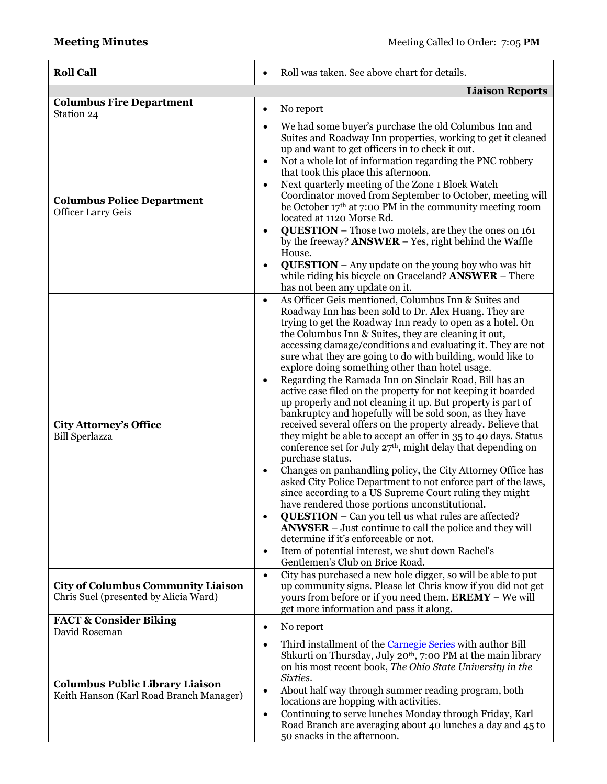| <b>Roll Call</b>                                                                   | Roll was taken. See above chart for details.                                                                                                                                                                                                                                                                                                                                                                                                                                                                                                                                                                                                                                                                                                                                                                                                                                                                                                                                                                                                                                                                                                                                                                                                                                                                                                                                                                                                                               |  |  |  |  |
|------------------------------------------------------------------------------------|----------------------------------------------------------------------------------------------------------------------------------------------------------------------------------------------------------------------------------------------------------------------------------------------------------------------------------------------------------------------------------------------------------------------------------------------------------------------------------------------------------------------------------------------------------------------------------------------------------------------------------------------------------------------------------------------------------------------------------------------------------------------------------------------------------------------------------------------------------------------------------------------------------------------------------------------------------------------------------------------------------------------------------------------------------------------------------------------------------------------------------------------------------------------------------------------------------------------------------------------------------------------------------------------------------------------------------------------------------------------------------------------------------------------------------------------------------------------------|--|--|--|--|
|                                                                                    | <b>Liaison Reports</b>                                                                                                                                                                                                                                                                                                                                                                                                                                                                                                                                                                                                                                                                                                                                                                                                                                                                                                                                                                                                                                                                                                                                                                                                                                                                                                                                                                                                                                                     |  |  |  |  |
| <b>Columbus Fire Department</b><br>Station 24                                      | No report<br>$\bullet$                                                                                                                                                                                                                                                                                                                                                                                                                                                                                                                                                                                                                                                                                                                                                                                                                                                                                                                                                                                                                                                                                                                                                                                                                                                                                                                                                                                                                                                     |  |  |  |  |
| <b>Columbus Police Department</b><br><b>Officer Larry Geis</b>                     | We had some buyer's purchase the old Columbus Inn and<br>$\bullet$<br>Suites and Roadway Inn properties, working to get it cleaned<br>up and want to get officers in to check it out.<br>Not a whole lot of information regarding the PNC robbery<br>$\bullet$<br>that took this place this afternoon.<br>Next quarterly meeting of the Zone 1 Block Watch<br>٠<br>Coordinator moved from September to October, meeting will<br>be October 17th at 7:00 PM in the community meeting room<br>located at 1120 Morse Rd.<br><b>QUESTION</b> - Those two motels, are they the ones on 161<br>$\bullet$<br>by the freeway? $ANSWER - Yes$ , right behind the Waffle<br>House.<br><b>QUESTION</b> – Any update on the young boy who was hit<br>$\bullet$<br>while riding his bicycle on Graceland? <b>ANSWER</b> - There<br>has not been any update on it.                                                                                                                                                                                                                                                                                                                                                                                                                                                                                                                                                                                                                       |  |  |  |  |
| <b>City Attorney's Office</b><br><b>Bill Sperlazza</b>                             | As Officer Geis mentioned, Columbus Inn & Suites and<br>$\bullet$<br>Roadway Inn has been sold to Dr. Alex Huang. They are<br>trying to get the Roadway Inn ready to open as a hotel. On<br>the Columbus Inn & Suites, they are cleaning it out,<br>accessing damage/conditions and evaluating it. They are not<br>sure what they are going to do with building, would like to<br>explore doing something other than hotel usage.<br>Regarding the Ramada Inn on Sinclair Road, Bill has an<br>$\bullet$<br>active case filed on the property for not keeping it boarded<br>up properly and not cleaning it up. But property is part of<br>bankruptcy and hopefully will be sold soon, as they have<br>received several offers on the property already. Believe that<br>they might be able to accept an offer in 35 to 40 days. Status<br>conference set for July $27th$ , might delay that depending on<br>purchase status.<br>Changes on panhandling policy, the City Attorney Office has<br>$\bullet$<br>asked City Police Department to not enforce part of the laws,<br>since according to a US Supreme Court ruling they might<br>have rendered those portions unconstitutional.<br><b>QUESTION</b> - Can you tell us what rules are affected?<br>$\bullet$<br>ANWSER - Just continue to call the police and they will<br>determine if it's enforceable or not.<br>Item of potential interest, we shut down Rachel's<br>$\bullet$<br>Gentlemen's Club on Brice Road. |  |  |  |  |
| <b>City of Columbus Community Liaison</b><br>Chris Suel (presented by Alicia Ward) | City has purchased a new hole digger, so will be able to put<br>$\bullet$<br>up community signs. Please let Chris know if you did not get<br>yours from before or if you need them. <b>EREMY</b> – We will<br>get more information and pass it along.                                                                                                                                                                                                                                                                                                                                                                                                                                                                                                                                                                                                                                                                                                                                                                                                                                                                                                                                                                                                                                                                                                                                                                                                                      |  |  |  |  |
| <b>FACT &amp; Consider Biking</b><br>David Roseman                                 | No report<br>$\bullet$                                                                                                                                                                                                                                                                                                                                                                                                                                                                                                                                                                                                                                                                                                                                                                                                                                                                                                                                                                                                                                                                                                                                                                                                                                                                                                                                                                                                                                                     |  |  |  |  |
| <b>Columbus Public Library Liaison</b><br>Keith Hanson (Karl Road Branch Manager)  | Third installment of the Carnegie Series with author Bill<br>$\bullet$<br>Shkurti on Thursday, July 20 <sup>th</sup> , 7:00 PM at the main library<br>on his most recent book, The Ohio State University in the<br>Sixties.<br>About half way through summer reading program, both<br>$\bullet$<br>locations are hopping with activities.<br>Continuing to serve lunches Monday through Friday, Karl<br>٠<br>Road Branch are averaging about 40 lunches a day and 45 to<br>50 snacks in the afternoon.                                                                                                                                                                                                                                                                                                                                                                                                                                                                                                                                                                                                                                                                                                                                                                                                                                                                                                                                                                     |  |  |  |  |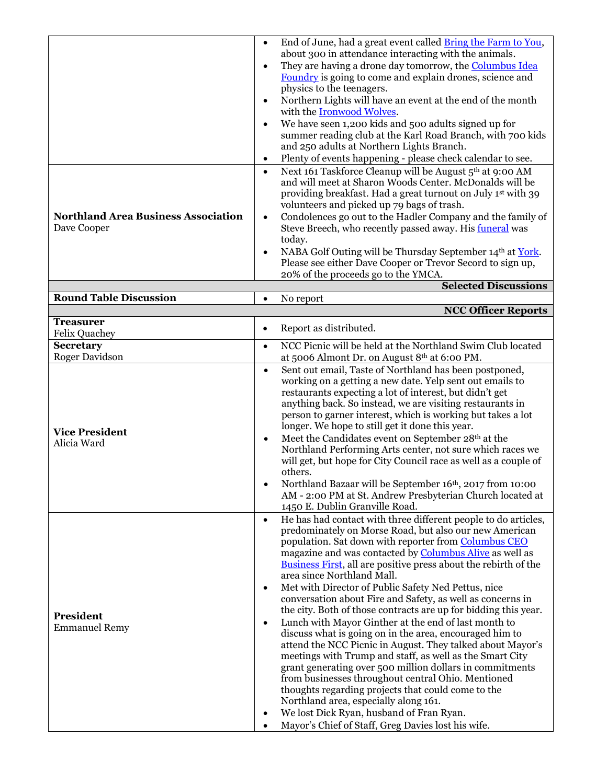|                                            | $\bullet$              | End of June, had a great event called Bring the Farm to You,                                                                      |
|--------------------------------------------|------------------------|-----------------------------------------------------------------------------------------------------------------------------------|
|                                            |                        | about 300 in attendance interacting with the animals.                                                                             |
|                                            | $\bullet$              | They are having a drone day tomorrow, the Columbus Idea                                                                           |
|                                            |                        | Foundry is going to come and explain drones, science and<br>physics to the teenagers.                                             |
|                                            |                        | Northern Lights will have an event at the end of the month                                                                        |
|                                            |                        | with the <b>Ironwood Wolves</b> .                                                                                                 |
|                                            | $\bullet$              | We have seen 1,200 kids and 500 adults signed up for                                                                              |
|                                            |                        | summer reading club at the Karl Road Branch, with 700 kids                                                                        |
|                                            |                        | and 250 adults at Northern Lights Branch.                                                                                         |
|                                            | $\bullet$<br>$\bullet$ | Plenty of events happening - please check calendar to see.<br>Next 161 Taskforce Cleanup will be August 5th at 9:00 AM            |
|                                            |                        | and will meet at Sharon Woods Center. McDonalds will be                                                                           |
|                                            |                        | providing breakfast. Had a great turnout on July 1st with 39                                                                      |
|                                            |                        | volunteers and picked up 79 bags of trash.                                                                                        |
| <b>Northland Area Business Association</b> | $\bullet$              | Condolences go out to the Hadler Company and the family of                                                                        |
| Dave Cooper                                |                        | Steve Breech, who recently passed away. His funeral was                                                                           |
|                                            |                        | today.<br>NABA Golf Outing will be Thursday September 14th at York.                                                               |
|                                            | $\bullet$              | Please see either Dave Cooper or Trevor Secord to sign up,                                                                        |
|                                            |                        | 20% of the proceeds go to the YMCA.                                                                                               |
|                                            |                        | <b>Selected Discussions</b>                                                                                                       |
| <b>Round Table Discussion</b>              | $\bullet$              | No report                                                                                                                         |
|                                            |                        | <b>NCC Officer Reports</b>                                                                                                        |
| <b>Treasurer</b><br><b>Felix Quachey</b>   | $\bullet$              | Report as distributed.                                                                                                            |
| Secretary                                  | $\bullet$              | NCC Picnic will be held at the Northland Swim Club located                                                                        |
| <b>Roger Davidson</b>                      |                        | at 5006 Almont Dr. on August 8th at 6:00 PM.                                                                                      |
|                                            | $\bullet$              | Sent out email, Taste of Northland has been postponed,                                                                            |
|                                            |                        | working on a getting a new date. Yelp sent out emails to                                                                          |
|                                            |                        | restaurants expecting a lot of interest, but didn't get                                                                           |
|                                            |                        | anything back. So instead, we are visiting restaurants in<br>person to garner interest, which is working but takes a lot          |
|                                            |                        | longer. We hope to still get it done this year.                                                                                   |
| <b>Vice President</b><br>Alicia Ward       | ٠                      | Meet the Candidates event on September 28th at the                                                                                |
|                                            |                        | Northland Performing Arts center, not sure which races we                                                                         |
|                                            |                        | will get, but hope for City Council race as well as a couple of                                                                   |
|                                            |                        | others.                                                                                                                           |
|                                            |                        | Northland Bazaar will be September 16th, 2017 from 10:00<br>AM - 2:00 PM at St. Andrew Presbyterian Church located at             |
|                                            |                        | 1450 E. Dublin Granville Road.                                                                                                    |
|                                            | $\bullet$              | He has had contact with three different people to do articles,                                                                    |
|                                            |                        | predominately on Morse Road, but also our new American                                                                            |
|                                            |                        | population. Sat down with reporter from Columbus CEO                                                                              |
|                                            |                        | magazine and was contacted by Columbus Alive as well as<br><b>Business First, all are positive press about the rebirth of the</b> |
|                                            |                        | area since Northland Mall.                                                                                                        |
|                                            | $\bullet$              | Met with Director of Public Safety Ned Pettus, nice                                                                               |
|                                            |                        | conversation about Fire and Safety, as well as concerns in                                                                        |
| President                                  |                        | the city. Both of those contracts are up for bidding this year.                                                                   |
| <b>Emmanuel Remy</b>                       | $\bullet$              | Lunch with Mayor Ginther at the end of last month to                                                                              |
|                                            |                        | discuss what is going on in the area, encouraged him to<br>attend the NCC Picnic in August. They talked about Mayor's             |
|                                            |                        | meetings with Trump and staff, as well as the Smart City                                                                          |
|                                            |                        | grant generating over 500 million dollars in commitments                                                                          |
|                                            |                        | from businesses throughout central Ohio. Mentioned                                                                                |
|                                            |                        |                                                                                                                                   |
|                                            |                        | thoughts regarding projects that could come to the                                                                                |
|                                            |                        | Northland area, especially along 161.<br>We lost Dick Ryan, husband of Fran Ryan.                                                 |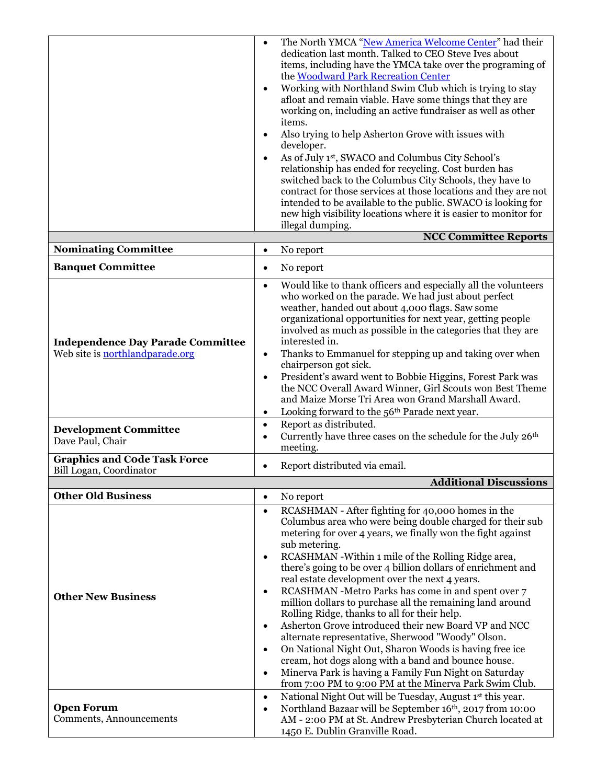|                                                                             | The North YMCA "New America Welcome Center" had their<br>$\bullet$<br>dedication last month. Talked to CEO Steve Ives about<br>items, including have the YMCA take over the programing of<br>the Woodward Park Recreation Center<br>Working with Northland Swim Club which is trying to stay<br>afloat and remain viable. Have some things that they are                                                                                                                                                                                                                                                                                                                                                                                                                                                                                                                                                                                                                  |
|-----------------------------------------------------------------------------|---------------------------------------------------------------------------------------------------------------------------------------------------------------------------------------------------------------------------------------------------------------------------------------------------------------------------------------------------------------------------------------------------------------------------------------------------------------------------------------------------------------------------------------------------------------------------------------------------------------------------------------------------------------------------------------------------------------------------------------------------------------------------------------------------------------------------------------------------------------------------------------------------------------------------------------------------------------------------|
|                                                                             | working on, including an active fundraiser as well as other<br>items.<br>Also trying to help Asherton Grove with issues with                                                                                                                                                                                                                                                                                                                                                                                                                                                                                                                                                                                                                                                                                                                                                                                                                                              |
|                                                                             | developer.<br>As of July 1st, SWACO and Columbus City School's<br>$\bullet$<br>relationship has ended for recycling. Cost burden has<br>switched back to the Columbus City Schools, they have to<br>contract for those services at those locations and they are not<br>intended to be available to the public. SWACO is looking for<br>new high visibility locations where it is easier to monitor for<br>illegal dumping.                                                                                                                                                                                                                                                                                                                                                                                                                                                                                                                                                |
| <b>Nominating Committee</b>                                                 | <b>NCC Committee Reports</b>                                                                                                                                                                                                                                                                                                                                                                                                                                                                                                                                                                                                                                                                                                                                                                                                                                                                                                                                              |
|                                                                             | No report<br>$\bullet$                                                                                                                                                                                                                                                                                                                                                                                                                                                                                                                                                                                                                                                                                                                                                                                                                                                                                                                                                    |
| <b>Banquet Committee</b>                                                    | No report<br>$\bullet$                                                                                                                                                                                                                                                                                                                                                                                                                                                                                                                                                                                                                                                                                                                                                                                                                                                                                                                                                    |
| <b>Independence Day Parade Committee</b><br>Web site is northlandparade.org | Would like to thank officers and especially all the volunteers<br>$\bullet$<br>who worked on the parade. We had just about perfect<br>weather, handed out about 4,000 flags. Saw some<br>organizational opportunities for next year, getting people<br>involved as much as possible in the categories that they are<br>interested in.<br>Thanks to Emmanuel for stepping up and taking over when<br>$\bullet$<br>chairperson got sick.<br>President's award went to Bobbie Higgins, Forest Park was<br>the NCC Overall Award Winner, Girl Scouts won Best Theme<br>and Maize Morse Tri Area won Grand Marshall Award.<br>Looking forward to the 56 <sup>th</sup> Parade next year.<br>$\bullet$                                                                                                                                                                                                                                                                           |
| <b>Development Committee</b><br>Dave Paul, Chair                            | Report as distributed.<br>$\bullet$<br>Currently have three cases on the schedule for the July 26 <sup>th</sup><br>$\bullet$<br>meeting.                                                                                                                                                                                                                                                                                                                                                                                                                                                                                                                                                                                                                                                                                                                                                                                                                                  |
| <b>Graphics and Code Task Force</b>                                         | Report distributed via email.<br>$\bullet$                                                                                                                                                                                                                                                                                                                                                                                                                                                                                                                                                                                                                                                                                                                                                                                                                                                                                                                                |
| Bill Logan, Coordinator                                                     |                                                                                                                                                                                                                                                                                                                                                                                                                                                                                                                                                                                                                                                                                                                                                                                                                                                                                                                                                                           |
|                                                                             | <b>Additional Discussions</b>                                                                                                                                                                                                                                                                                                                                                                                                                                                                                                                                                                                                                                                                                                                                                                                                                                                                                                                                             |
| <b>Other Old Business</b><br><b>Other New Business</b>                      | No report<br>$\bullet$<br>RCASHMAN - After fighting for 40,000 homes in the<br>$\bullet$<br>Columbus area who were being double charged for their sub<br>metering for over 4 years, we finally won the fight against<br>sub metering.<br>RCASHMAN - Within 1 mile of the Rolling Ridge area,<br>there's going to be over 4 billion dollars of enrichment and<br>real estate development over the next 4 years.<br>RCASHMAN -Metro Parks has come in and spent over 7<br>$\bullet$<br>million dollars to purchase all the remaining land around<br>Rolling Ridge, thanks to all for their help.<br>Asherton Grove introduced their new Board VP and NCC<br>$\bullet$<br>alternate representative, Sherwood "Woody" Olson.<br>On National Night Out, Sharon Woods is having free ice<br>$\bullet$<br>cream, hot dogs along with a band and bounce house.<br>Minerva Park is having a Family Fun Night on Saturday<br>from 7:00 PM to 9:00 PM at the Minerva Park Swim Club. |
| <b>Open Forum</b><br>Comments, Announcements                                | National Night Out will be Tuesday, August 1st this year.<br>$\bullet$<br>Northland Bazaar will be September 16th, 2017 from 10:00<br>AM - 2:00 PM at St. Andrew Presbyterian Church located at<br>1450 E. Dublin Granville Road.                                                                                                                                                                                                                                                                                                                                                                                                                                                                                                                                                                                                                                                                                                                                         |